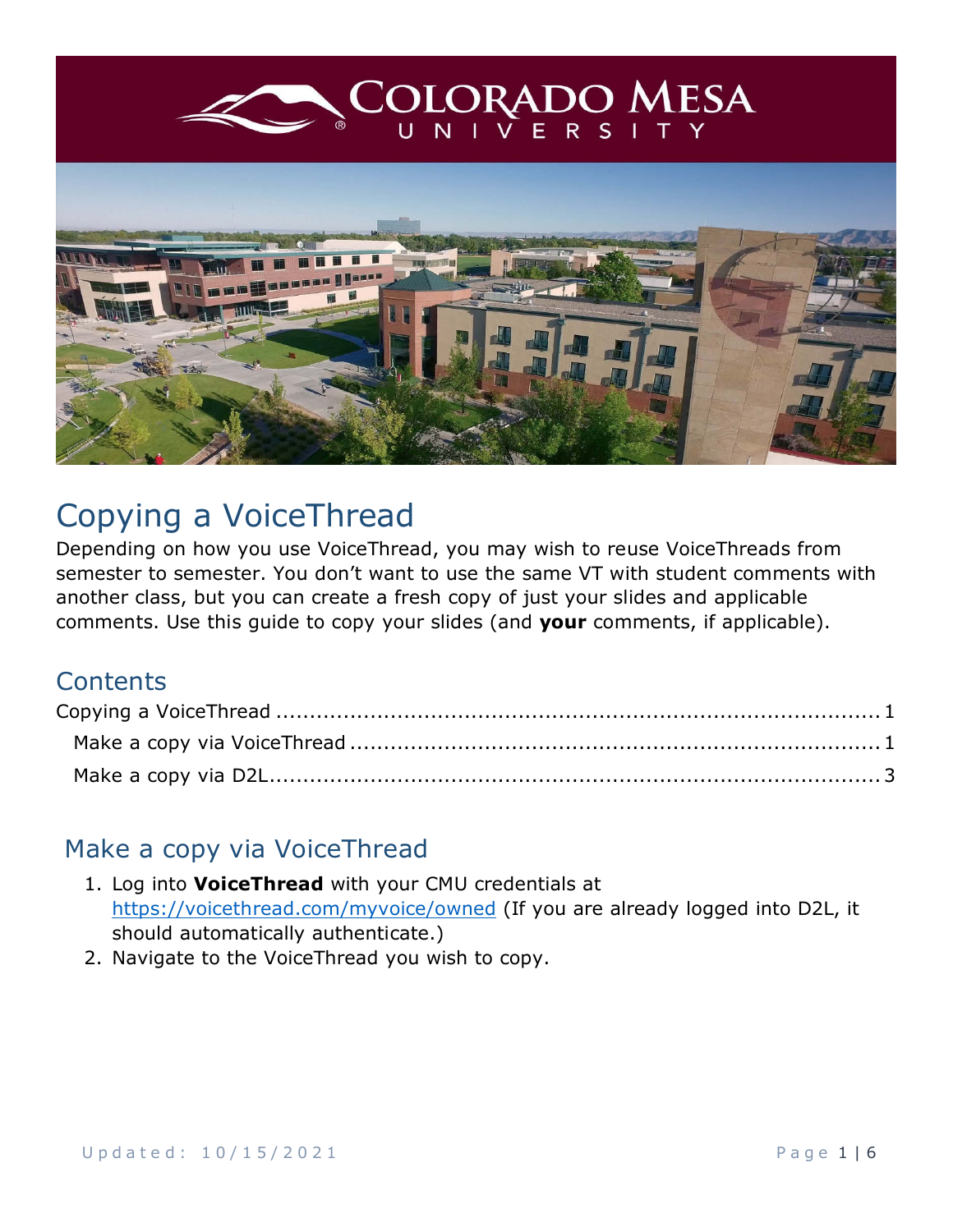

## <span id="page-0-0"></span>Copying a VoiceThread

Depending on how you use VoiceThread, you may wish to reuse VoiceThreads from semester to semester. You don't want to use the same VT with student comments with another class, but you can create a fresh copy of just your slides and applicable comments. Use this guide to copy your slides (and **your** comments, if applicable).

## **Contents**

## <span id="page-0-1"></span>Make a copy via VoiceThread

- 1. Log into **VoiceThread** with your CMU credentials at <https://voicethread.com/myvoice/owned> (If you are already logged into D2L, it should automatically authenticate.)
- 2. Navigate to the VoiceThread you wish to copy.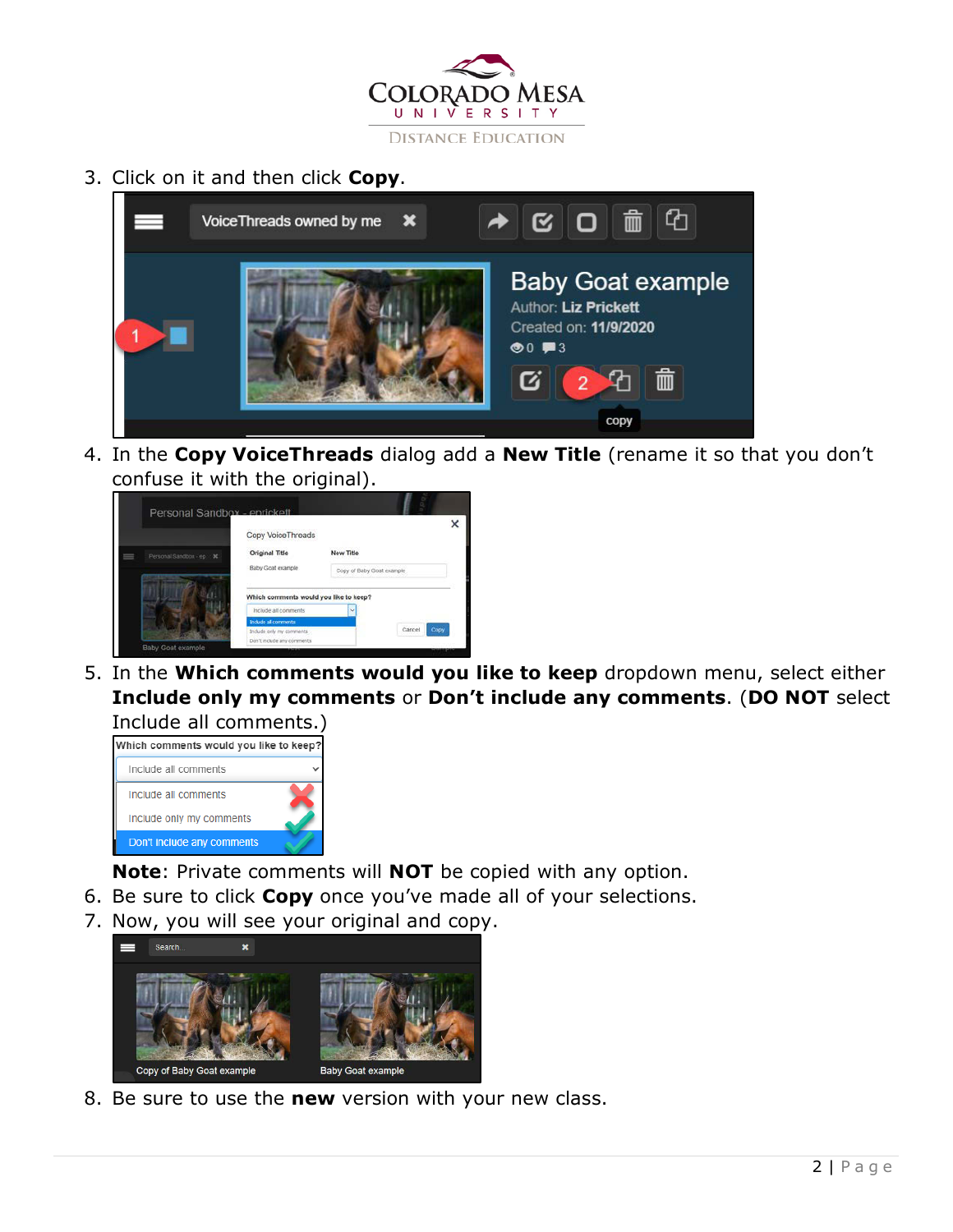

3. Click on it and then click **Copy**.



4. In the **Copy VoiceThreads** dialog add a **New Title** (rename it so that you don't confuse it with the original).



5. In the **Which comments would you like to keep** dropdown menu, select either **Include only my comments** or **Don't include any comments**. (**DO NOT** select



- **Note**: Private comments will **NOT** be copied with any option.
- 6. Be sure to click **Copy** once you've made all of your selections.
- 7. Now, you will see your original and copy.



8. Be sure to use the **new** version with your new class.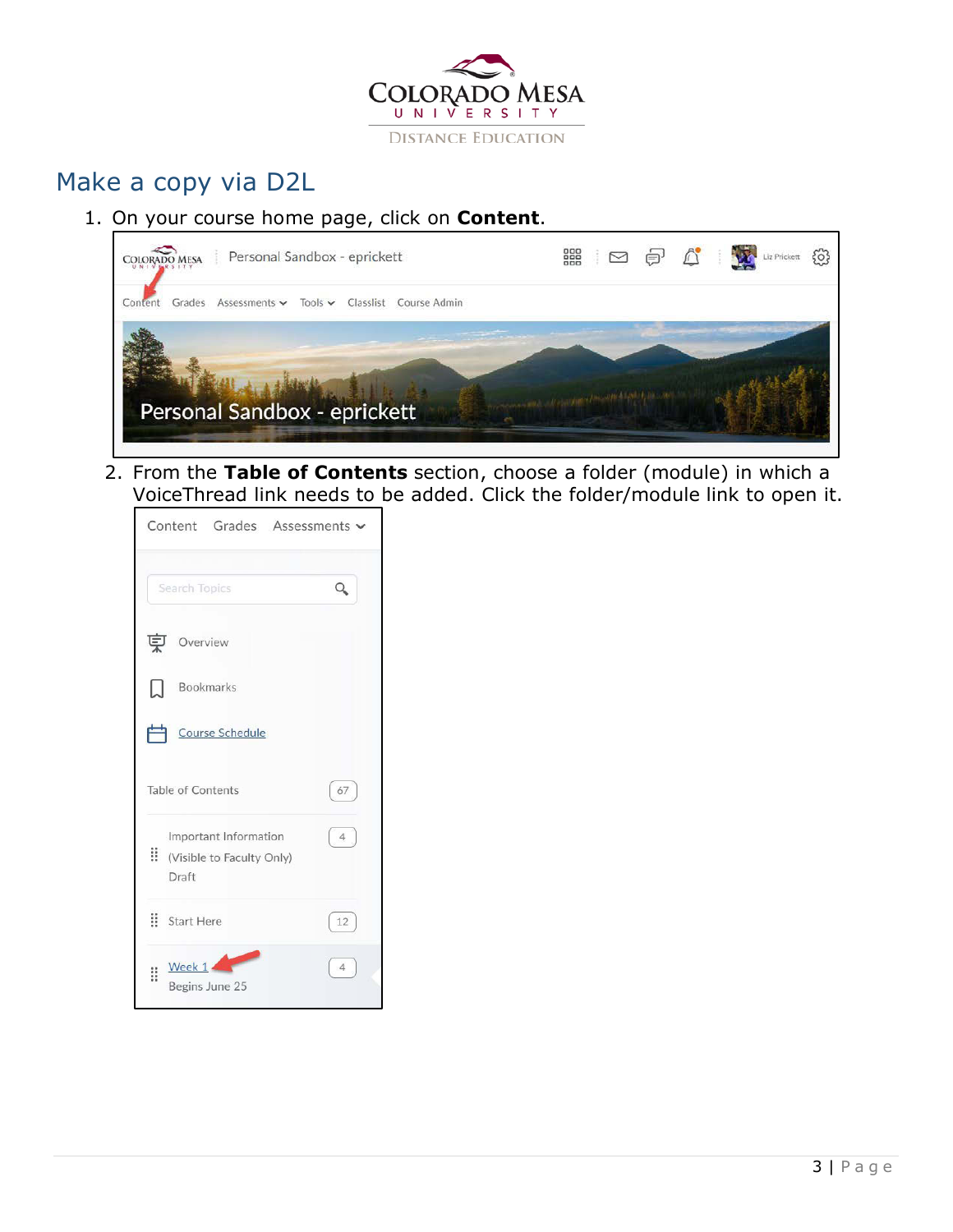

## <span id="page-2-0"></span>Make a copy via D2L

1. On your course home page, click on **Content**.



2. From the **Table of Contents** section, choose a folder (module) in which a VoiceThread link needs to be added. Click the folder/module link to open it.

|    | Content Grades Assessments                                 |                |
|----|------------------------------------------------------------|----------------|
|    | Search Topics                                              |                |
| 莫  | Overview                                                   |                |
| IJ | <b>Bookmarks</b>                                           |                |
|    | Course Schedule                                            |                |
|    | Table of Contents                                          | 67             |
|    | Important Information<br>Visible to Faculty Only)<br>Draft | $\overline{4}$ |
|    | : Start Here                                               | 12             |
| Ħ  | Week $1$<br>Begins June 25                                 | $\overline{4}$ |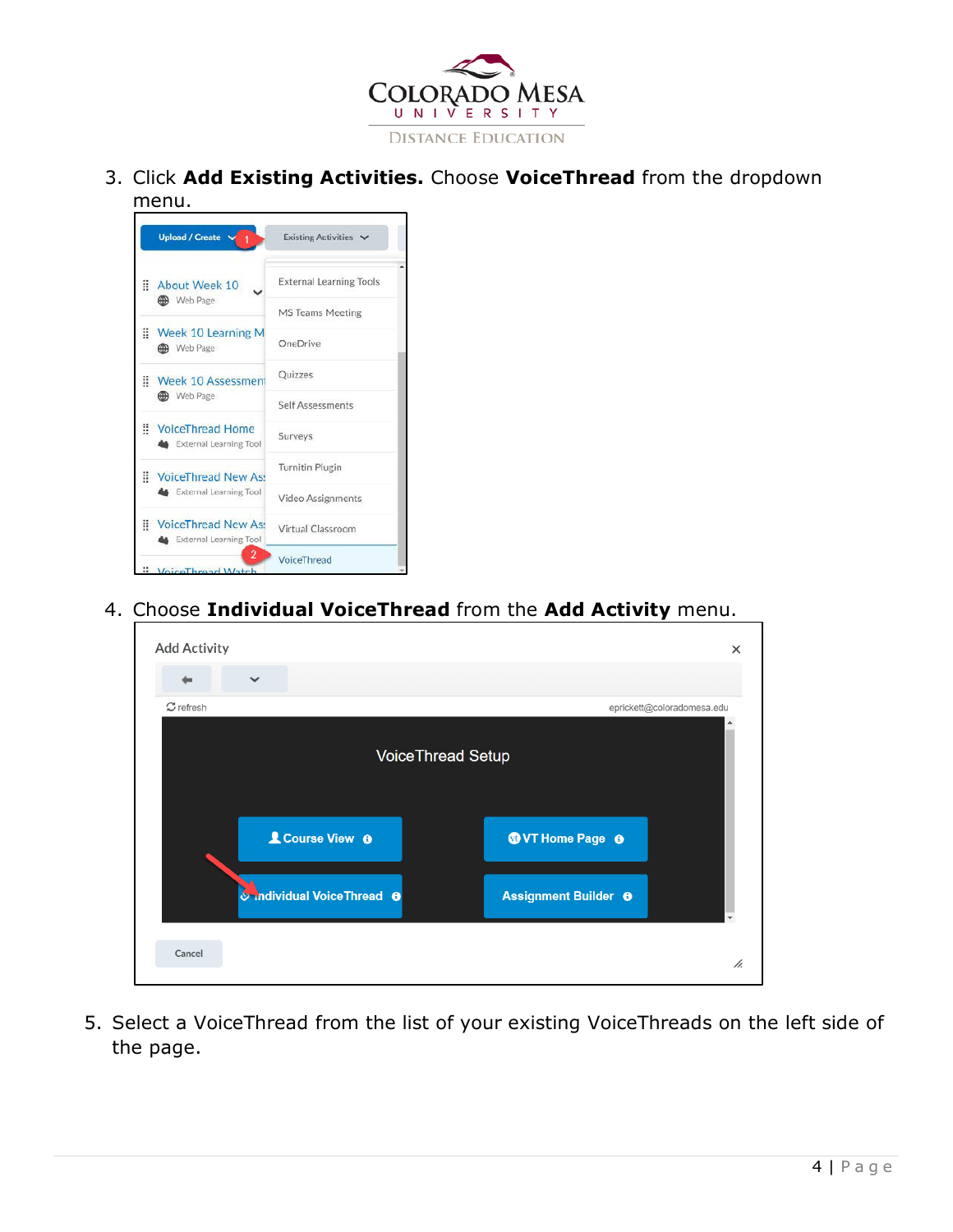

3. Click **Add Existing Activities.** Choose **VoiceThread** from the dropdown menu.

|   | <b>Upload / Create</b>                                            | Existing Activities V          |
|---|-------------------------------------------------------------------|--------------------------------|
| Ħ | About Week 10                                                     | <b>External Learning Tools</b> |
|   | Web Page                                                          | <b>MS Teams Meeting</b>        |
|   | Week 10 Learning M<br><b>B</b> Web Page                           | OneDrive                       |
|   | Week 10 Assessment                                                | Quizzes                        |
|   | Web Page                                                          | Self Assessments               |
|   | VoiceThread Home<br><b>External Learning Tool</b>                 | Surveys                        |
|   | VoiceThread New As:                                               | <b>Turnitin Plugin</b>         |
|   | <b>External Learning Tool</b>                                     | Video Assignments              |
|   | <b>WoiceThread New Ass</b><br><b>&amp;</b> External Learning Tool | Virtual Classroom              |
|   | 2<br>VoiceThread Watch                                            | VoiceThread                    |

4. Choose **Individual VoiceThread** from the **Add Activity** menu.

| <b>Add Activity</b> |                                    | ×                                           |
|---------------------|------------------------------------|---------------------------------------------|
|                     | $\checkmark$                       |                                             |
| $\sigma$ refresh    |                                    | eprickett@coloradomesa.edu                  |
|                     |                                    | <b>VoiceThread Setup</b>                    |
|                     | <b>L</b> Course View <b>O</b>      | <b>OVT</b> Home Page <b>O</b>               |
|                     | o individual Voice Thread $\theta$ | <b>Assignment Builder @</b><br>$\checkmark$ |
| Cancel              |                                    | h.                                          |

5. Select a VoiceThread from the list of your existing VoiceThreads on the left side of the page.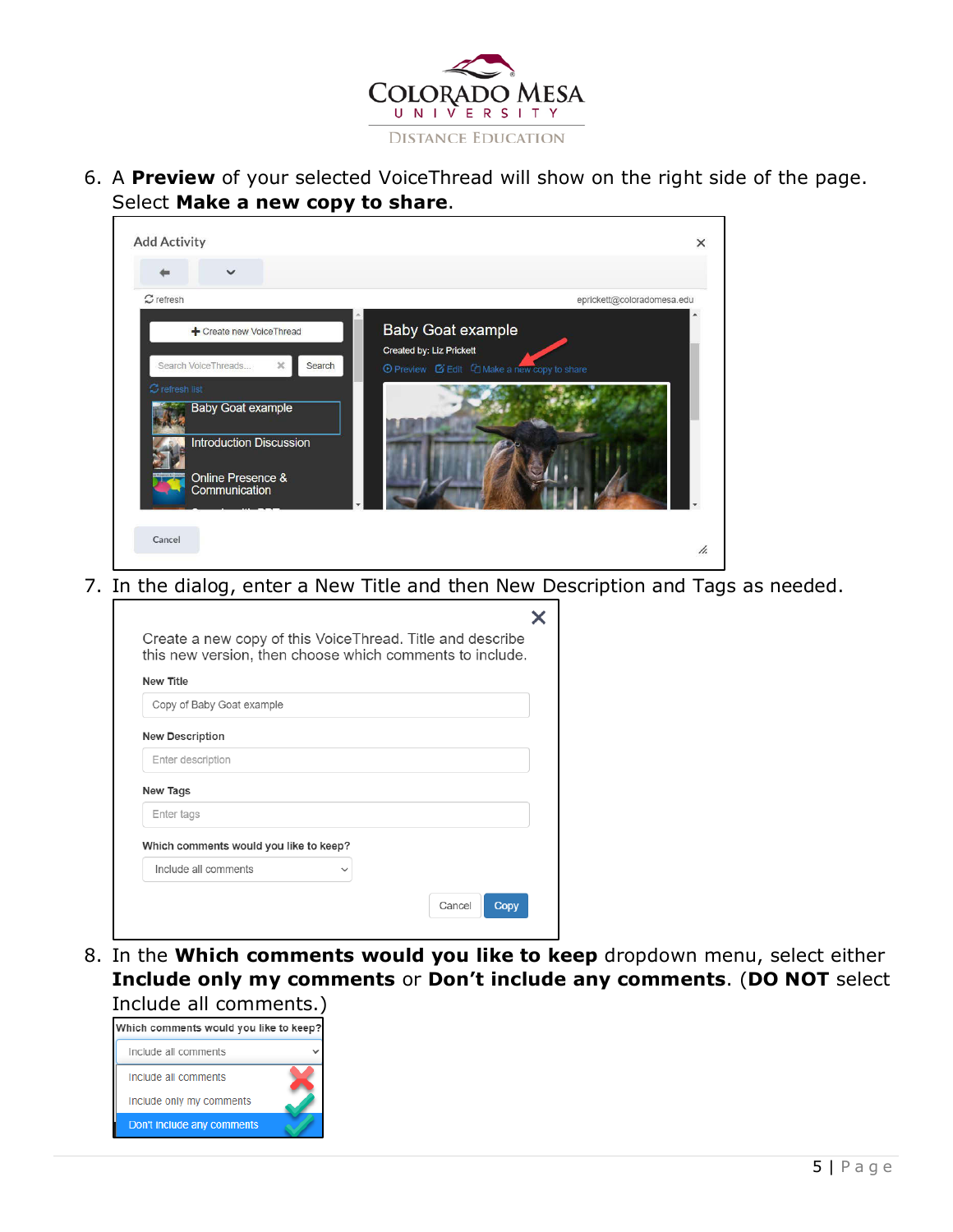

6. A **Preview** of your selected VoiceThread will show on the right side of the page. Select **Make a new copy to share**.

| <b>Add Activity</b>                                                                                                                                                                                                                                                                                                       |   |                            | $\times$ |  |
|---------------------------------------------------------------------------------------------------------------------------------------------------------------------------------------------------------------------------------------------------------------------------------------------------------------------------|---|----------------------------|----------|--|
| $\checkmark$                                                                                                                                                                                                                                                                                                              |   |                            |          |  |
| $\mathfrak{S}$ refresh                                                                                                                                                                                                                                                                                                    |   | eprickett@coloradomesa.edu |          |  |
| <b>Baby Goat example</b><br>+ Create new VoiceThread<br>Created by: Liz Prickett<br>Search VoiceThreads<br>$\mathbb{X}.$<br>Search<br>⊙ Preview ■ Edit □ Make a new copy to share<br>$\sigma$ refresh list<br><b>Baby Goat example</b><br><b>Introduction Discussion</b><br><b>Online Presence &amp;</b><br>Communication |   |                            |          |  |
| Cancel                                                                                                                                                                                                                                                                                                                    |   |                            | h.       |  |
| Create a new copy of this VoiceThread. Title and describe                                                                                                                                                                                                                                                                 | X |                            |          |  |
| this new version, then choose which comments to include.                                                                                                                                                                                                                                                                  |   |                            |          |  |
| <b>New Title</b>                                                                                                                                                                                                                                                                                                          |   |                            |          |  |
| Copy of Baby Goat example                                                                                                                                                                                                                                                                                                 |   |                            |          |  |
| <b>New Description</b>                                                                                                                                                                                                                                                                                                    |   |                            |          |  |
| Enter description                                                                                                                                                                                                                                                                                                         |   |                            |          |  |
| New Tags                                                                                                                                                                                                                                                                                                                  |   |                            |          |  |
| Enter tags                                                                                                                                                                                                                                                                                                                |   |                            |          |  |
| 7. In the dialog, enter a New Title and then New Description and Tags as needed.<br>Which comments would you like to keep?                                                                                                                                                                                                |   |                            |          |  |
| Include all comments                                                                                                                                                                                                                                                                                                      |   |                            |          |  |

8. In the **Which comments would you like to keep** dropdown menu, select either **Include only my comments** or **Don't include any comments**. (**DO NOT** select